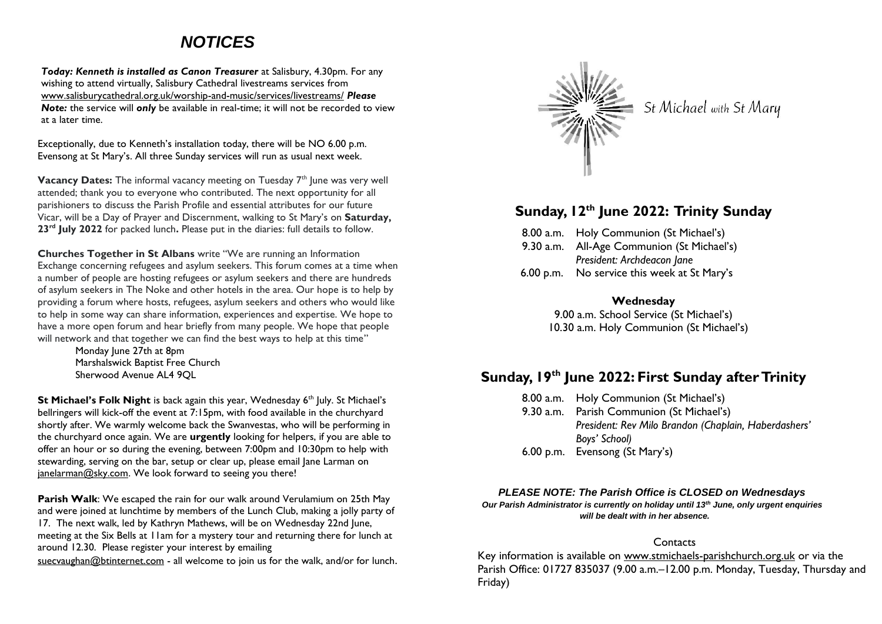# *NOTICES*

*Today: Kenneth is installed as Canon Treasurer* at Salisbury, 4.30pm. For any wishing to attend virtually, Salisbury Cathedral livestreams services from [www.salisburycathedral.org.uk/worship-and-music/services/livestreams/](http://www.salisburycathedral.org.uk/worship-and-music/services/livestreams/) *Please Note:* the service will *only* be available in real-time; it will not be recorded to view at a later time.

Exceptionally, due to Kenneth's installation today, there will be NO 6.00 p.m. Evensong at St Mary's. All three Sunday services will run as usual next week.

**Vacancy Dates:** The informal vacancy meeting on Tuesday 7<sup>th</sup> lune was very well attended; thank you to everyone who contributed. The next opportunity for all parishioners to discuss the Parish Profile and essential attributes for our future Vicar, will be a Day of Prayer and Discernment, walking to St Mary's on **Saturday, 23rd July 2022** for packed lunch**.** Please put in the diaries: full details to follow.

**Churches Together in St Albans** write "We are running an Information Exchange concerning refugees and asylum seekers. This forum comes at a time when a number of people are hosting refugees or asylum seekers and there are hundreds of asylum seekers in The Noke and other hotels in the area. Our hope is to help by providing a forum where hosts, refugees, asylum seekers and others who would like to help in some way can share information, experiences and expertise. We hope to have a more open forum and hear briefly from many people. We hope that people will network and that together we can find the best ways to help at this time"

Monday June 27th at 8pm Marshalswick Baptist Free Church Sherwood Avenue AL4 9QL

**St Michael's Folk Night** is back again this year, Wednesday 6<sup>th</sup> July. St Michael's bellringers will kick-off the event at 7:15pm, with food available in the churchyard shortly after. We warmly welcome back the Swanvestas, who will be performing in the churchyard once again. We are **urgently** looking for helpers, if you are able to offer an hour or so during the evening, between 7:00pm and 10:30pm to help with stewarding, serving on the bar, setup or clear up, please email Jane Larman on [janelarman@sky.com.](mailto:janelarman@sky.com) We look forward to seeing you there!

**Parish Walk**: We escaped the rain for our walk around Verulamium on 25th May and were joined at lunchtime by members of the Lunch Club, making a jolly party of 17. The next walk, led by Kathryn Mathews, will be on Wednesday 22nd June, meeting at the Six Bells at 11am for a mystery tour and returning there for lunch at around 12.30. Please register your interest by emailing [suecvaughan@btinternet.com](mailto:suecvaughan@btinternet.com) - all welcome to join us for the walk, and/or for lunch.



St Michael with St Mary

# **Sunday, 12th June 2022: Trinity Sunday**

| 8.00 a.m. Holy Communion (St Michael's)     |
|---------------------------------------------|
| 9.30 a.m. All-Age Communion (St Michael's)  |
| President: Archdeacon Jane                  |
| 6.00 p.m. No service this week at St Mary's |

## **Wednesday**

9.00 a.m. School Service (St Michael's) 10.30 a.m. Holy Communion (St Michael's)

# **Sunday, 19 th June 2022: First Sunday after Trinity**

| 8.00 a.m. Holy Communion (St Michael's)              |
|------------------------------------------------------|
| 9.30 a.m. Parish Communion (St Michael's)            |
| President: Rev Milo Brandon (Chaplain, Haberdashers' |
| Boys' School)                                        |
| 6.00 p.m. Evensong (St Mary's)                       |

# *PLEASE NOTE: The Parish Office is CLOSED on Wednesdays*

*Our Parish Administrator is currently on holiday until 13th June, only urgent enquiries will be dealt with in her absence.*

# **Contacts**

Key information is available on www.stmichaels-parishchurch.org.uk or via the Parish Office: 01727 835037 (9.00 a.m.-12.00 p.m. Monday, Tuesday, Thursday and Friday)